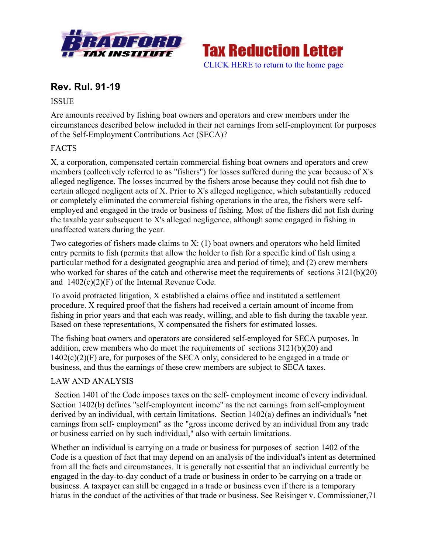



# **Rev. Rul. 91-19**

### **ISSUE**

Are amounts received by fishing boat owners and operators and crew members under the circumstances described below included in their net earnings from self-employment for purposes of the Self-Employment Contributions Act (SECA)?

# FACTS

X, a corporation, compensated certain commercial fishing boat owners and operators and crew members (collectively referred to as "fishers") for losses suffered during the year because of X's alleged negligence. The losses incurred by the fishers arose because they could not fish due to certain alleged negligent acts of X. Prior to X's alleged negligence, which substantially reduced or completely eliminated the commercial fishing operations in the area, the fishers were selfemployed and engaged in the trade or business of fishing. Most of the fishers did not fish during the taxable year subsequent to X's alleged negligence, although some engaged in fishing in unaffected waters during the year.

Two categories of fishers made claims to X: (1) boat owners and operators who held limited entry permits to fish (permits that allow the holder to fish for a specific kind of fish using a particular method for a designated geographic area and period of time); and (2) crew members who worked for shares of the catch and otherwise meet the requirements of sections  $3121(b)(20)$ and 1402(c)(2)(F) of the Internal Revenue Code.

To avoid protracted litigation, X established a claims office and instituted a settlement procedure. X required proof that the fishers had received a certain amount of income from fishing in prior years and that each was ready, willing, and able to fish during the taxable year. Based on these representations, X compensated the fishers for estimated losses.

The fishing boat owners and operators are considered self-employed for SECA purposes. In addition, crew members who do meet the requirements of sections 3121(b)(20) and  $1402(c)(2)(F)$  are, for purposes of the SECA only, considered to be engaged in a trade or business, and thus the earnings of these crew members are subject to SECA taxes.

## LAW AND ANALYSIS

 Section 1401 of the Code imposes taxes on the self- employment income of every individual. Section 1402(b) defines "self-employment income" as the net earnings from self-employment derived by an individual, with certain limitations. Section 1402(a) defines an individual's "net earnings from self- employment" as the "gross income derived by an individual from any trade or business carried on by such individual," also with certain limitations.

Whether an individual is carrying on a trade or business for purposes of section 1402 of the Code is a question of fact that may depend on an analysis of the individual's intent as determined from all the facts and circumstances. It is generally not essential that an individual currently be engaged in the day-to-day conduct of a trade or business in order to be carrying on a trade or business. A taxpayer can still be engaged in a trade or business even if there is a temporary hiatus in the conduct of the activities of that trade or business. See Reisinger v. Commissioner,71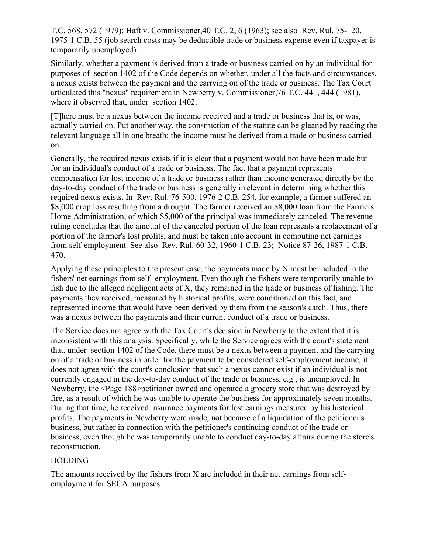T.C. 568, 572 (1979); Haft v. Commissioner,40 T.C. 2, 6 (1963); see also Rev. Rul. 75-120, 1975-1 C.B. 55 (job search costs may be deductible trade or business expense even if taxpayer is temporarily unemployed).

Similarly, whether a payment is derived from a trade or business carried on by an individual for purposes of section 1402 of the Code depends on whether, under all the facts and circumstances, a nexus exists between the payment and the carrying on of the trade or business. The Tax Court articulated this "nexus" requirement in Newberry v. Commissioner,76 T.C. 441, 444 (1981), where it observed that, under section 1402.

[T]here must be a nexus between the income received and a trade or business that is, or was, actually carried on. Put another way, the construction of the statute can be gleaned by reading the relevant language all in one breath: the income must be derived from a trade or business carried on.

Generally, the required nexus exists if it is clear that a payment would not have been made but for an individual's conduct of a trade or business. The fact that a payment represents compensation for lost income of a trade or business rather than income generated directly by the day-to-day conduct of the trade or business is generally irrelevant in determining whether this required nexus exists. In Rev. Rul. 76-500, 1976-2 C.B. 254, for example, a farmer suffered an \$8,000 crop loss resulting from a drought. The farmer received an \$8,000 loan from the Farmers Home Administration, of which \$5,000 of the principal was immediately canceled. The revenue ruling concludes that the amount of the canceled portion of the loan represents a replacement of a portion of the farmer's lost profits, and must be taken into account in computing net earnings from self-employment. See also Rev. Rul. 60-32, 1960-1 C.B. 23; Notice 87-26, 1987-1 C.B. 470.

Applying these principles to the present case, the payments made by X must be included in the fishers' net earnings from self- employment. Even though the fishers were temporarily unable to fish due to the alleged negligent acts of X, they remained in the trade or business of fishing. The payments they received, measured by historical profits, were conditioned on this fact, and represented income that would have been derived by them from the season's catch. Thus, there was a nexus between the payments and their current conduct of a trade or business.

The Service does not agree with the Tax Court's decision in Newberry to the extent that it is inconsistent with this analysis. Specifically, while the Service agrees with the court's statement that, under section 1402 of the Code, there must be a nexus between a payment and the carrying on of a trade or business in order for the payment to be considered self-employment income, it does not agree with the court's conclusion that such a nexus cannot exist if an individual is not currently engaged in the day-to-day conduct of the trade or business, e.g., is unemployed. In Newberry, the <Page 188>petitioner owned and operated a grocery store that was destroyed by fire, as a result of which he was unable to operate the business for approximately seven months. During that time, he received insurance payments for lost earnings measured by his historical profits. The payments in Newberry were made, not because of a liquidation of the petitioner's business, but rather in connection with the petitioner's continuing conduct of the trade or business, even though he was temporarily unable to conduct day-to-day affairs during the store's reconstruction.

#### HOLDING

The amounts received by the fishers from X are included in their net earnings from selfemployment for SECA purposes.